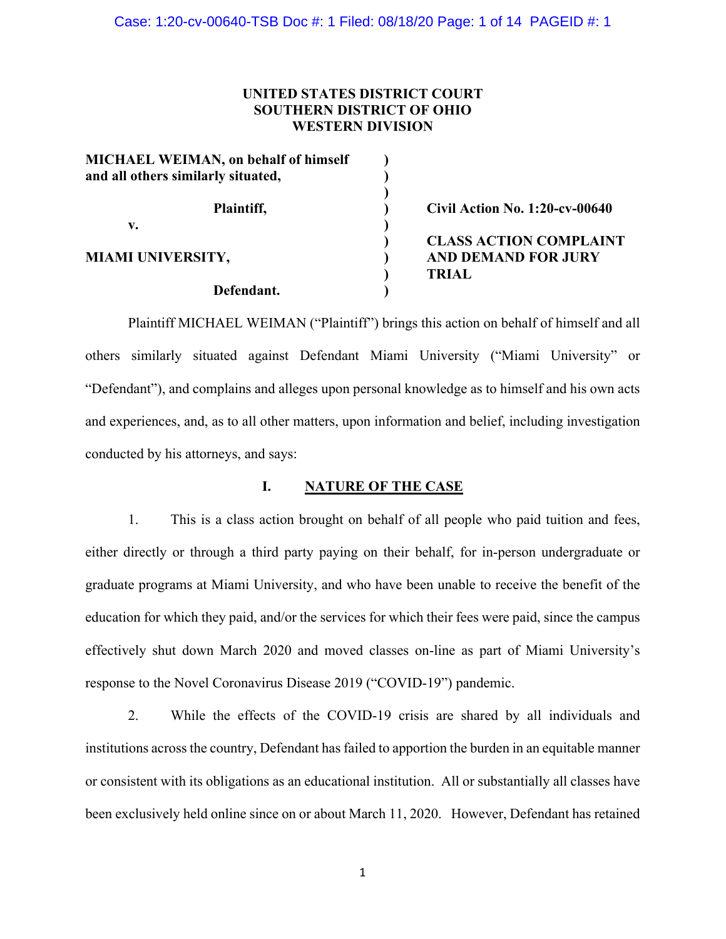# **UNITED STATES DISTRICT COURT SOUTHERN DISTRICT OF OHIO WESTERN DIVISION**

| <b>Civil Action No. 1:20-cv-00640</b> |
|---------------------------------------|
|                                       |
| <b>CLASS ACTION COMPLAINT</b>         |
| <b>AND DEMAND FOR JURY</b>            |
| <b>TRIAL</b>                          |
|                                       |
|                                       |

Plaintiff MICHAEL WEIMAN ("Plaintiff") brings this action on behalf of himself and all others similarly situated against Defendant Miami University ("Miami University" or "Defendant"), and complains and alleges upon personal knowledge as to himself and his own acts and experiences, and, as to all other matters, upon information and belief, including investigation conducted by his attorneys, and says:

# **I. NATURE OF THE CASE**

1. This is a class action brought on behalf of all people who paid tuition and fees, either directly or through a third party paying on their behalf, for in-person undergraduate or graduate programs at Miami University, and who have been unable to receive the benefit of the education for which they paid, and/or the services for which their fees were paid, since the campus effectively shut down March 2020 and moved classes on-line as part of Miami University's response to the Novel Coronavirus Disease 2019 ("COVID-19") pandemic.

2. While the effects of the COVID-19 crisis are shared by all individuals and institutions across the country, Defendant has failed to apportion the burden in an equitable manner or consistent with its obligations as an educational institution. All or substantially all classes have been exclusively held online since on or about March 11, 2020. However, Defendant has retained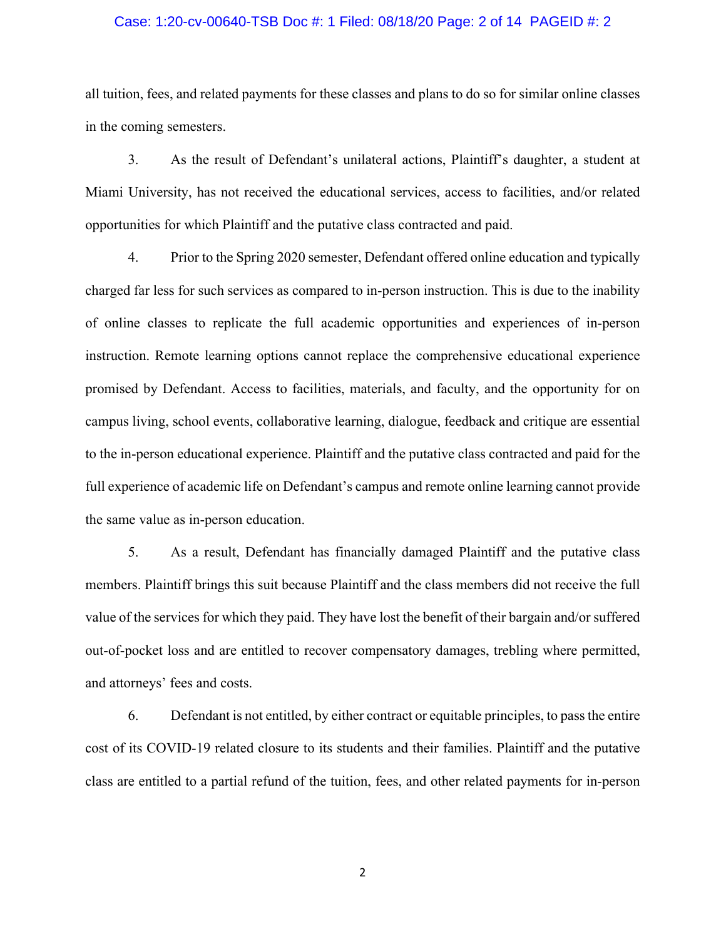## Case: 1:20-cv-00640-TSB Doc #: 1 Filed: 08/18/20 Page: 2 of 14 PAGEID #: 2

all tuition, fees, and related payments for these classes and plans to do so for similar online classes in the coming semesters.

3. As the result of Defendant's unilateral actions, Plaintiff's daughter, a student at Miami University, has not received the educational services, access to facilities, and/or related opportunities for which Plaintiff and the putative class contracted and paid.

4. Prior to the Spring 2020 semester, Defendant offered online education and typically charged far less for such services as compared to in-person instruction. This is due to the inability of online classes to replicate the full academic opportunities and experiences of in-person instruction. Remote learning options cannot replace the comprehensive educational experience promised by Defendant. Access to facilities, materials, and faculty, and the opportunity for on campus living, school events, collaborative learning, dialogue, feedback and critique are essential to the in-person educational experience. Plaintiff and the putative class contracted and paid for the full experience of academic life on Defendant's campus and remote online learning cannot provide the same value as in-person education.

5. As a result, Defendant has financially damaged Plaintiff and the putative class members. Plaintiff brings this suit because Plaintiff and the class members did not receive the full value of the services for which they paid. They have lost the benefit of their bargain and/or suffered out-of-pocket loss and are entitled to recover compensatory damages, trebling where permitted, and attorneys' fees and costs.

6. Defendant is not entitled, by either contract or equitable principles, to pass the entire cost of its COVID-19 related closure to its students and their families. Plaintiff and the putative class are entitled to a partial refund of the tuition, fees, and other related payments for in-person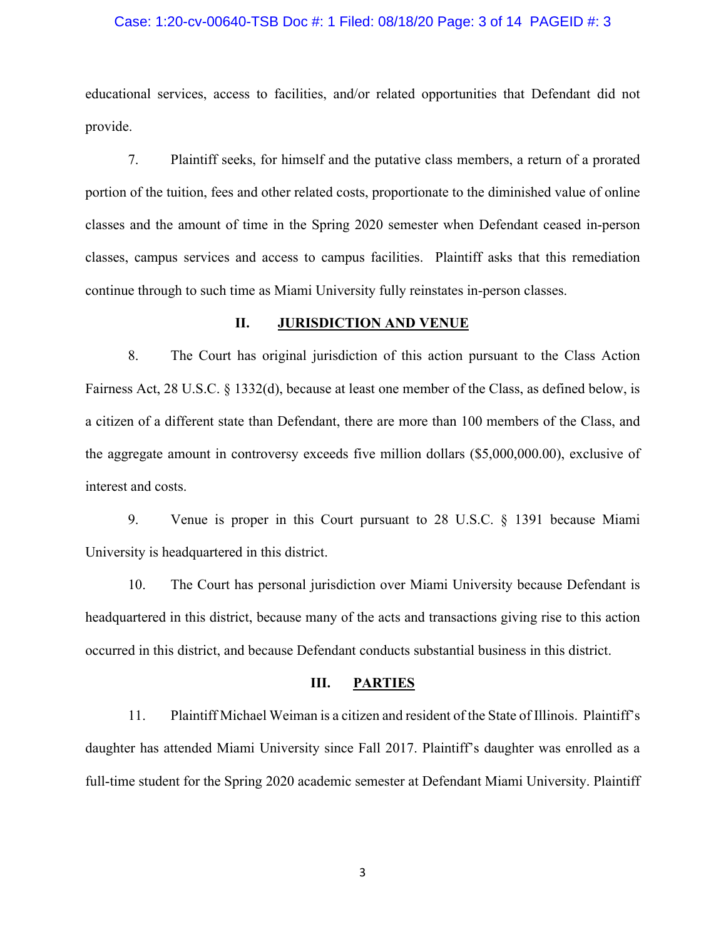## Case: 1:20-cv-00640-TSB Doc #: 1 Filed: 08/18/20 Page: 3 of 14 PAGEID #: 3

educational services, access to facilities, and/or related opportunities that Defendant did not provide.

7. Plaintiff seeks, for himself and the putative class members, a return of a prorated portion of the tuition, fees and other related costs, proportionate to the diminished value of online classes and the amount of time in the Spring 2020 semester when Defendant ceased in-person classes, campus services and access to campus facilities. Plaintiff asks that this remediation continue through to such time as Miami University fully reinstates in-person classes.

#### **II. JURISDICTION AND VENUE**

8. The Court has original jurisdiction of this action pursuant to the Class Action Fairness Act, 28 U.S.C. § 1332(d), because at least one member of the Class, as defined below, is a citizen of a different state than Defendant, there are more than 100 members of the Class, and the aggregate amount in controversy exceeds five million dollars (\$5,000,000.00), exclusive of interest and costs.

9. Venue is proper in this Court pursuant to 28 U.S.C. § 1391 because Miami University is headquartered in this district.

10. The Court has personal jurisdiction over Miami University because Defendant is headquartered in this district, because many of the acts and transactions giving rise to this action occurred in this district, and because Defendant conducts substantial business in this district.

# **III. PARTIES**

11. Plaintiff Michael Weiman is a citizen and resident of the State of Illinois. Plaintiff's daughter has attended Miami University since Fall 2017. Plaintiff's daughter was enrolled as a full-time student for the Spring 2020 academic semester at Defendant Miami University. Plaintiff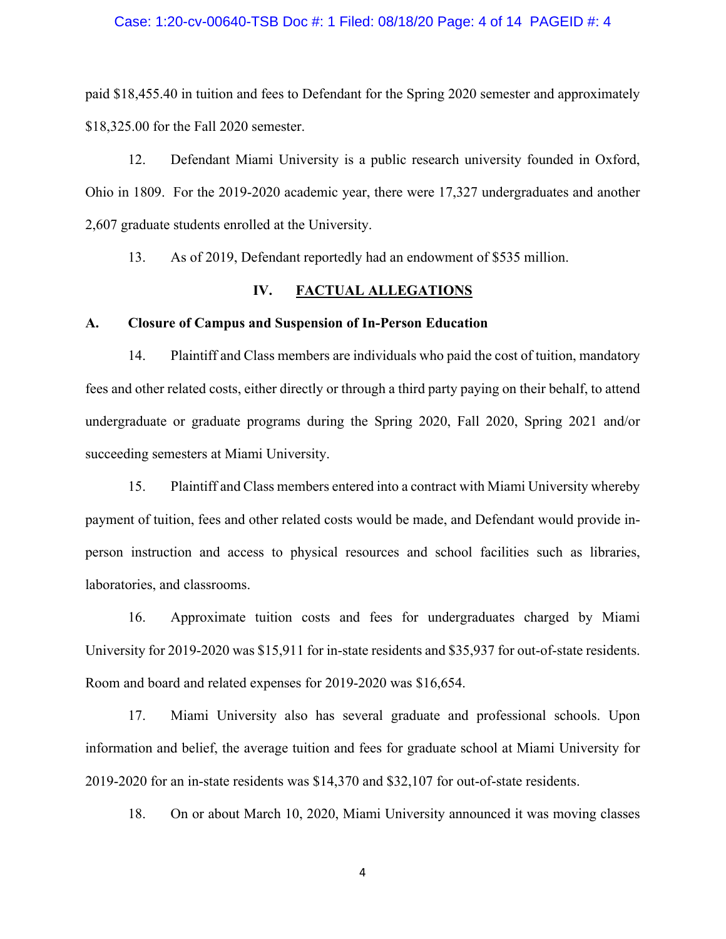## Case: 1:20-cv-00640-TSB Doc #: 1 Filed: 08/18/20 Page: 4 of 14 PAGEID #: 4

paid \$18,455.40 in tuition and fees to Defendant for the Spring 2020 semester and approximately \$18,325.00 for the Fall 2020 semester.

12. Defendant Miami University is a public research university founded in Oxford, Ohio in 1809. For the 2019-2020 academic year, there were 17,327 undergraduates and another 2,607 graduate students enrolled at the University.

13. As of 2019, Defendant reportedly had an endowment of \$535 million.

# **IV. FACTUAL ALLEGATIONS**

#### **A. Closure of Campus and Suspension of In-Person Education**

14. Plaintiff and Class members are individuals who paid the cost of tuition, mandatory fees and other related costs, either directly or through a third party paying on their behalf, to attend undergraduate or graduate programs during the Spring 2020, Fall 2020, Spring 2021 and/or succeeding semesters at Miami University.

15. Plaintiff and Class members entered into a contract with Miami University whereby payment of tuition, fees and other related costs would be made, and Defendant would provide inperson instruction and access to physical resources and school facilities such as libraries, laboratories, and classrooms.

16. Approximate tuition costs and fees for undergraduates charged by Miami University for 2019-2020 was \$15,911 for in-state residents and \$35,937 for out-of-state residents. Room and board and related expenses for 2019-2020 was \$16,654.

17. Miami University also has several graduate and professional schools. Upon information and belief, the average tuition and fees for graduate school at Miami University for 2019-2020 for an in-state residents was \$14,370 and \$32,107 for out-of-state residents.

18. On or about March 10, 2020, Miami University announced it was moving classes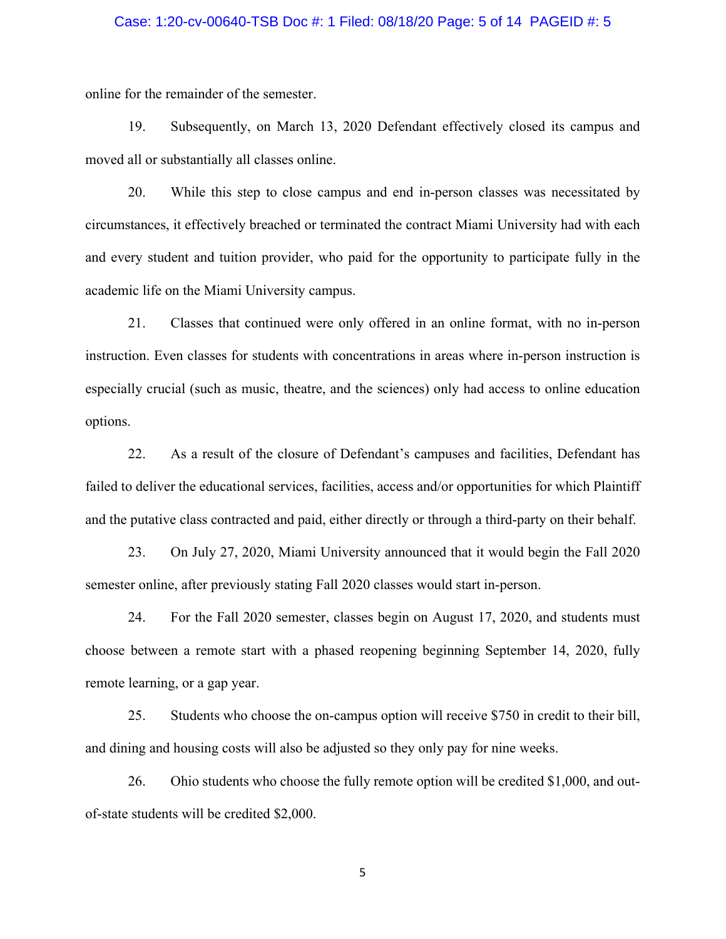## Case: 1:20-cv-00640-TSB Doc #: 1 Filed: 08/18/20 Page: 5 of 14 PAGEID #: 5

online for the remainder of the semester.

19. Subsequently, on March 13, 2020 Defendant effectively closed its campus and moved all or substantially all classes online.

20. While this step to close campus and end in-person classes was necessitated by circumstances, it effectively breached or terminated the contract Miami University had with each and every student and tuition provider, who paid for the opportunity to participate fully in the academic life on the Miami University campus.

21. Classes that continued were only offered in an online format, with no in-person instruction. Even classes for students with concentrations in areas where in-person instruction is especially crucial (such as music, theatre, and the sciences) only had access to online education options.

22. As a result of the closure of Defendant's campuses and facilities, Defendant has failed to deliver the educational services, facilities, access and/or opportunities for which Plaintiff and the putative class contracted and paid, either directly or through a third-party on their behalf.

23. On July 27, 2020, Miami University announced that it would begin the Fall 2020 semester online, after previously stating Fall 2020 classes would start in-person.

24. For the Fall 2020 semester, classes begin on August 17, 2020, and students must choose between a remote start with a phased reopening beginning September 14, 2020, fully remote learning, or a gap year.

25. Students who choose the on-campus option will receive \$750 in credit to their bill, and dining and housing costs will also be adjusted so they only pay for nine weeks.

26. Ohio students who choose the fully remote option will be credited \$1,000, and outof-state students will be credited \$2,000.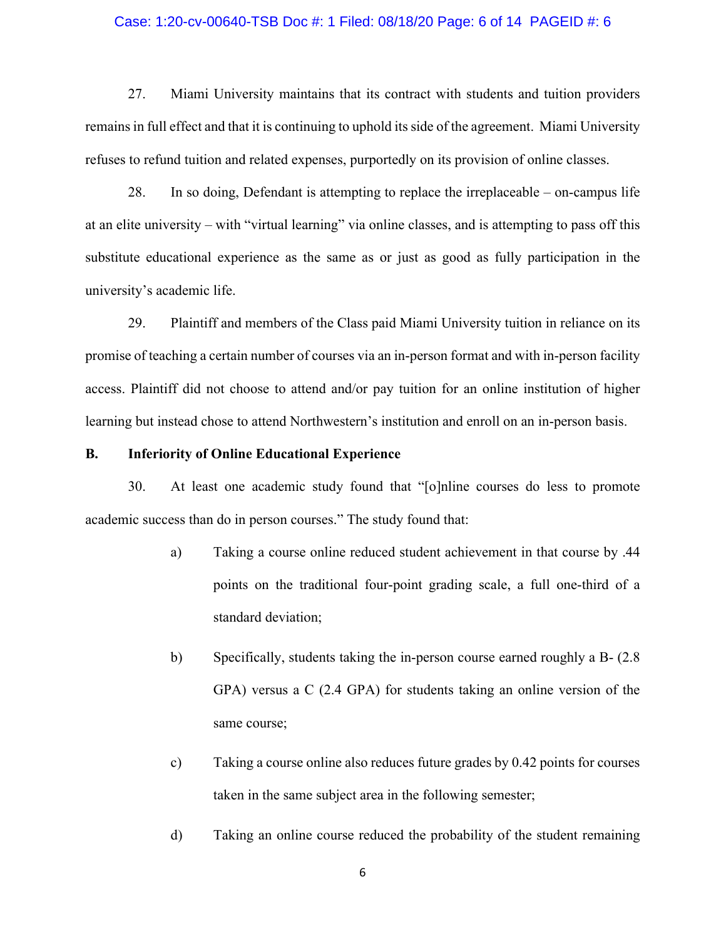#### Case: 1:20-cv-00640-TSB Doc #: 1 Filed: 08/18/20 Page: 6 of 14 PAGEID #: 6

27. Miami University maintains that its contract with students and tuition providers remains in full effect and that it is continuing to uphold its side of the agreement. Miami University refuses to refund tuition and related expenses, purportedly on its provision of online classes.

28. In so doing, Defendant is attempting to replace the irreplaceable – on-campus life at an elite university – with "virtual learning" via online classes, and is attempting to pass off this substitute educational experience as the same as or just as good as fully participation in the university's academic life.

29. Plaintiff and members of the Class paid Miami University tuition in reliance on its promise of teaching a certain number of courses via an in-person format and with in-person facility access. Plaintiff did not choose to attend and/or pay tuition for an online institution of higher learning but instead chose to attend Northwestern's institution and enroll on an in-person basis.

## **B. Inferiority of Online Educational Experience**

30. At least one academic study found that "[o]nline courses do less to promote academic success than do in person courses." The study found that:

- a) Taking a course online reduced student achievement in that course by .44 points on the traditional four-point grading scale, a full one-third of a standard deviation;
- b) Specifically, students taking the in-person course earned roughly a B- (2.8 GPA) versus a C (2.4 GPA) for students taking an online version of the same course;
- c) Taking a course online also reduces future grades by 0.42 points for courses taken in the same subject area in the following semester;
- d) Taking an online course reduced the probability of the student remaining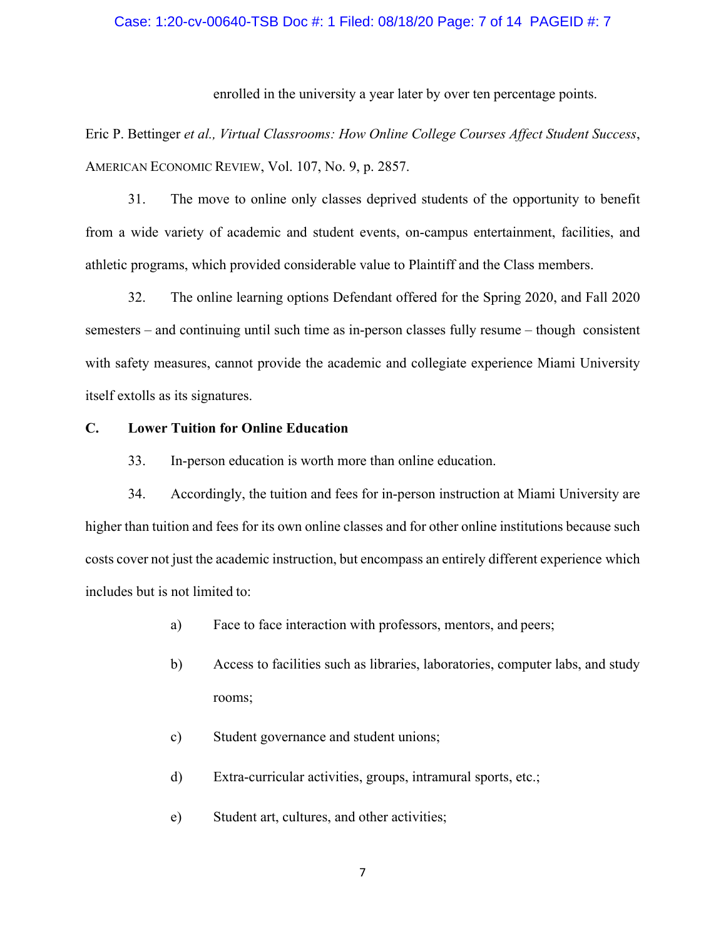# Case: 1:20-cv-00640-TSB Doc #: 1 Filed: 08/18/20 Page: 7 of 14 PAGEID #: 7

enrolled in the university a year later by over ten percentage points.

Eric P. Bettinger *et al., Virtual Classrooms: How Online College Courses Affect Student Success*, AMERICAN ECONOMIC REVIEW, Vol. 107, No. 9, p. 2857.

31. The move to online only classes deprived students of the opportunity to benefit from a wide variety of academic and student events, on-campus entertainment, facilities, and athletic programs, which provided considerable value to Plaintiff and the Class members.

32. The online learning options Defendant offered for the Spring 2020, and Fall 2020 semesters – and continuing until such time as in-person classes fully resume – though consistent with safety measures, cannot provide the academic and collegiate experience Miami University itself extolls as its signatures.

## **C. Lower Tuition for Online Education**

33. In-person education is worth more than online education.

34. Accordingly, the tuition and fees for in-person instruction at Miami University are higher than tuition and fees for its own online classes and for other online institutions because such costs cover not just the academic instruction, but encompass an entirely different experience which includes but is not limited to:

- a) Face to face interaction with professors, mentors, and peers;
- b) Access to facilities such as libraries, laboratories, computer labs, and study rooms;
- c) Student governance and student unions;
- d) Extra-curricular activities, groups, intramural sports, etc.;
- e) Student art, cultures, and other activities;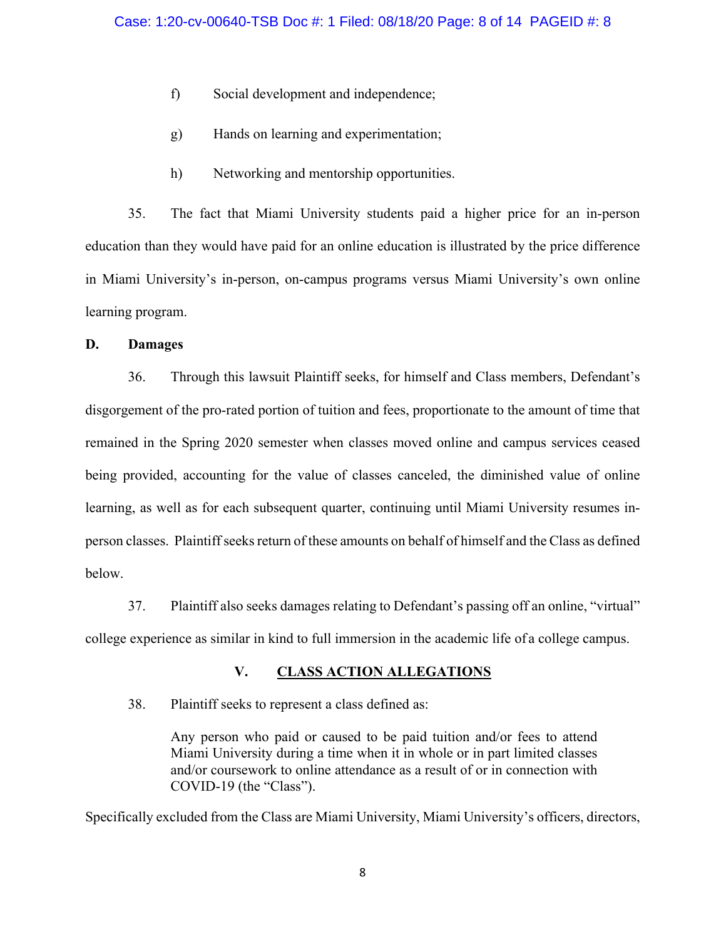- f) Social development and independence;
- g) Hands on learning and experimentation;
- h) Networking and mentorship opportunities.

35. The fact that Miami University students paid a higher price for an in-person education than they would have paid for an online education is illustrated by the price difference in Miami University's in-person, on-campus programs versus Miami University's own online learning program.

# **D. Damages**

36. Through this lawsuit Plaintiff seeks, for himself and Class members, Defendant's disgorgement of the pro-rated portion of tuition and fees, proportionate to the amount of time that remained in the Spring 2020 semester when classes moved online and campus services ceased being provided, accounting for the value of classes canceled, the diminished value of online learning, as well as for each subsequent quarter, continuing until Miami University resumes inperson classes. Plaintiff seeks return of these amounts on behalf of himself and the Class as defined below.

37. Plaintiff also seeks damages relating to Defendant's passing off an online, "virtual" college experience as similar in kind to full immersion in the academic life of a college campus.

# **V. CLASS ACTION ALLEGATIONS**

38. Plaintiff seeks to represent a class defined as:

Any person who paid or caused to be paid tuition and/or fees to attend Miami University during a time when it in whole or in part limited classes and/or coursework to online attendance as a result of or in connection with COVID-19 (the "Class").

Specifically excluded from the Class are Miami University, Miami University's officers, directors,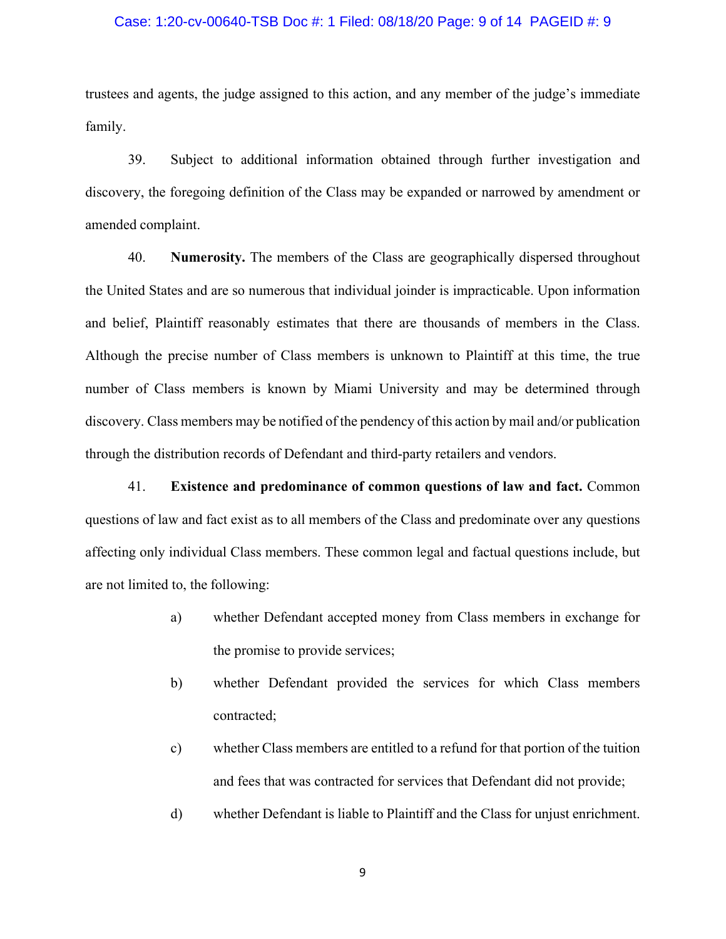## Case: 1:20-cv-00640-TSB Doc #: 1 Filed: 08/18/20 Page: 9 of 14 PAGEID #: 9

trustees and agents, the judge assigned to this action, and any member of the judge's immediate family.

39. Subject to additional information obtained through further investigation and discovery, the foregoing definition of the Class may be expanded or narrowed by amendment or amended complaint.

40. **Numerosity.** The members of the Class are geographically dispersed throughout the United States and are so numerous that individual joinder is impracticable. Upon information and belief, Plaintiff reasonably estimates that there are thousands of members in the Class. Although the precise number of Class members is unknown to Plaintiff at this time, the true number of Class members is known by Miami University and may be determined through discovery. Class members may be notified of the pendency of this action by mail and/or publication through the distribution records of Defendant and third-party retailers and vendors.

41. **Existence and predominance of common questions of law and fact.** Common questions of law and fact exist as to all members of the Class and predominate over any questions affecting only individual Class members. These common legal and factual questions include, but are not limited to, the following:

- a) whether Defendant accepted money from Class members in exchange for the promise to provide services;
- b) whether Defendant provided the services for which Class members contracted;
- c) whether Class members are entitled to a refund for that portion of the tuition and fees that was contracted for services that Defendant did not provide;
- d) whether Defendant is liable to Plaintiff and the Class for unjust enrichment.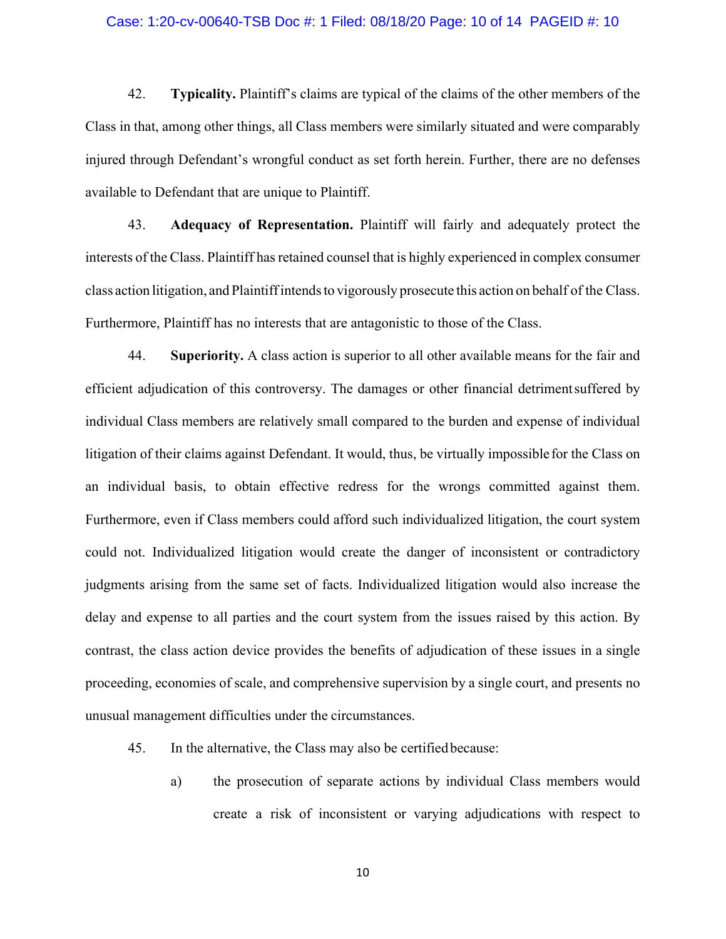#### Case: 1:20-cv-00640-TSB Doc #: 1 Filed: 08/18/20 Page: 10 of 14 PAGEID #: 10

42. **Typicality.** Plaintiff's claims are typical of the claims of the other members of the Class in that, among other things, all Class members were similarly situated and were comparably injured through Defendant's wrongful conduct as set forth herein. Further, there are no defenses available to Defendant that are unique to Plaintiff.

43. **Adequacy of Representation.** Plaintiff will fairly and adequately protect the interests of the Class. Plaintiff has retained counsel that is highly experienced in complex consumer class action litigation, and Plaintiffintendsto vigorously prosecute this action on behalf of the Class. Furthermore, Plaintiff has no interests that are antagonistic to those of the Class.

44. **Superiority.** A class action is superior to all other available means for the fair and efficient adjudication of this controversy. The damages or other financial detrimentsuffered by individual Class members are relatively small compared to the burden and expense of individual litigation of their claims against Defendant. It would, thus, be virtually impossiblefor the Class on an individual basis, to obtain effective redress for the wrongs committed against them. Furthermore, even if Class members could afford such individualized litigation, the court system could not. Individualized litigation would create the danger of inconsistent or contradictory judgments arising from the same set of facts. Individualized litigation would also increase the delay and expense to all parties and the court system from the issues raised by this action. By contrast, the class action device provides the benefits of adjudication of these issues in a single proceeding, economies of scale, and comprehensive supervision by a single court, and presents no unusual management difficulties under the circumstances.

#### 45. In the alternative, the Class may also be certifiedbecause:

a) the prosecution of separate actions by individual Class members would create a risk of inconsistent or varying adjudications with respect to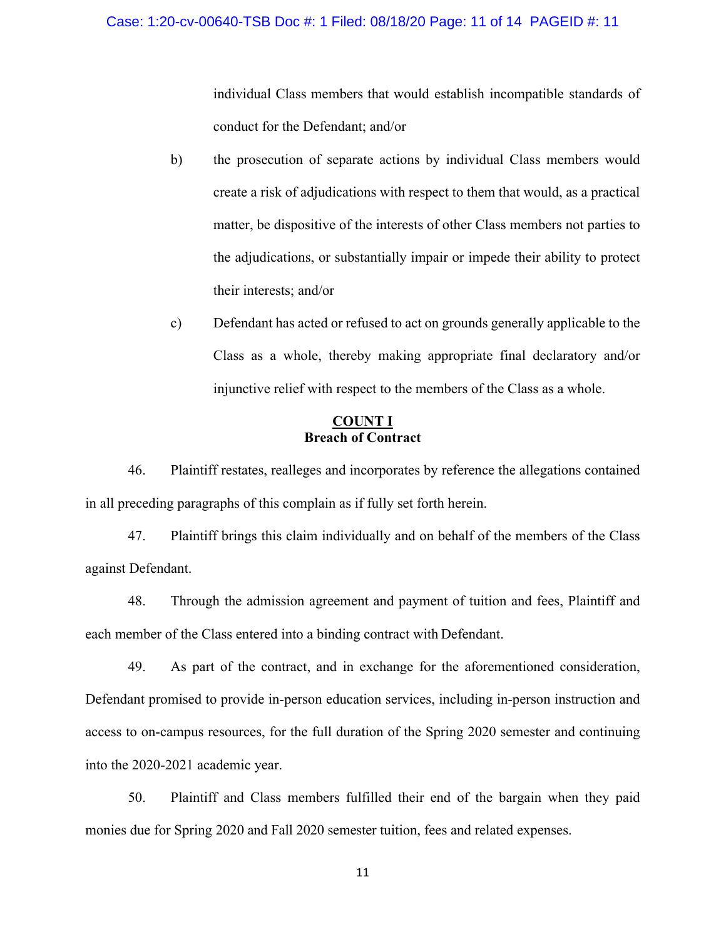individual Class members that would establish incompatible standards of conduct for the Defendant; and/or

- b) the prosecution of separate actions by individual Class members would create a risk of adjudications with respect to them that would, as a practical matter, be dispositive of the interests of other Class members not parties to the adjudications, or substantially impair or impede their ability to protect their interests; and/or
- c) Defendant has acted or refused to act on grounds generally applicable to the Class as a whole, thereby making appropriate final declaratory and/or injunctive relief with respect to the members of the Class as a whole.

# **COUNT I Breach of Contract**

46. Plaintiff restates, realleges and incorporates by reference the allegations contained in all preceding paragraphs of this complain as if fully set forth herein.

47. Plaintiff brings this claim individually and on behalf of the members of the Class against Defendant.

48. Through the admission agreement and payment of tuition and fees, Plaintiff and each member of the Class entered into a binding contract with Defendant.

49. As part of the contract, and in exchange for the aforementioned consideration, Defendant promised to provide in-person education services, including in-person instruction and access to on-campus resources, for the full duration of the Spring 2020 semester and continuing into the 2020-2021 academic year.

50. Plaintiff and Class members fulfilled their end of the bargain when they paid monies due for Spring 2020 and Fall 2020 semester tuition, fees and related expenses.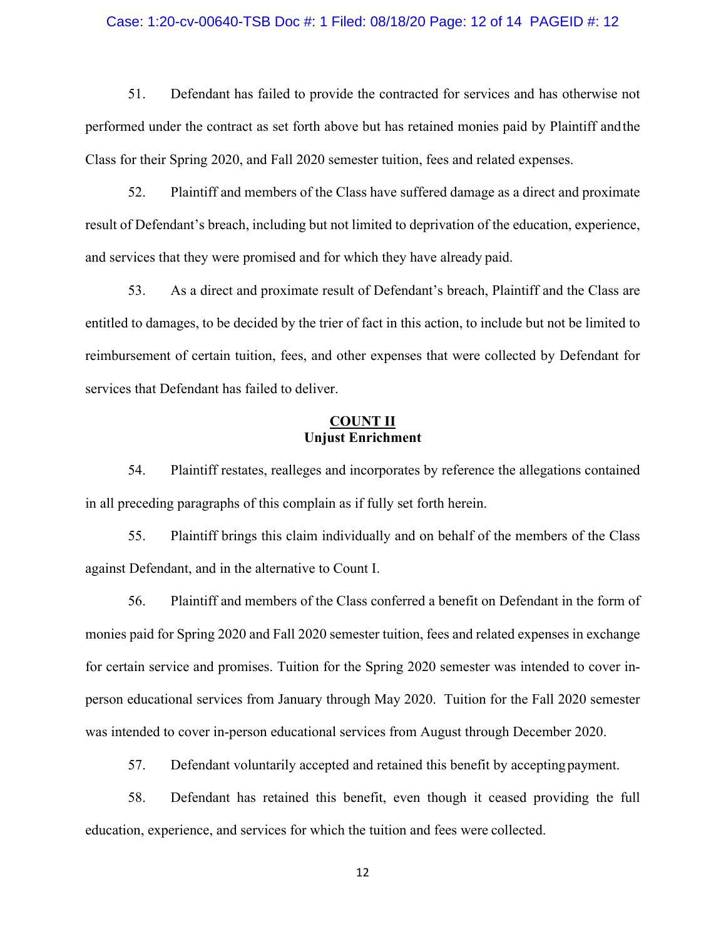#### Case: 1:20-cv-00640-TSB Doc #: 1 Filed: 08/18/20 Page: 12 of 14 PAGEID #: 12

51. Defendant has failed to provide the contracted for services and has otherwise not performed under the contract as set forth above but has retained monies paid by Plaintiff andthe Class for their Spring 2020, and Fall 2020 semester tuition, fees and related expenses.

52. Plaintiff and members of the Class have suffered damage as a direct and proximate result of Defendant's breach, including but not limited to deprivation of the education, experience, and services that they were promised and for which they have already paid.

53. As a direct and proximate result of Defendant's breach, Plaintiff and the Class are entitled to damages, to be decided by the trier of fact in this action, to include but not be limited to reimbursement of certain tuition, fees, and other expenses that were collected by Defendant for services that Defendant has failed to deliver.

# **COUNT II Unjust Enrichment**

54. Plaintiff restates, realleges and incorporates by reference the allegations contained in all preceding paragraphs of this complain as if fully set forth herein.

55. Plaintiff brings this claim individually and on behalf of the members of the Class against Defendant, and in the alternative to Count I.

56. Plaintiff and members of the Class conferred a benefit on Defendant in the form of monies paid for Spring 2020 and Fall 2020 semester tuition, fees and related expenses in exchange for certain service and promises. Tuition for the Spring 2020 semester was intended to cover inperson educational services from January through May 2020. Tuition for the Fall 2020 semester was intended to cover in-person educational services from August through December 2020.

57. Defendant voluntarily accepted and retained this benefit by accepting payment.

58. Defendant has retained this benefit, even though it ceased providing the full education, experience, and services for which the tuition and fees were collected.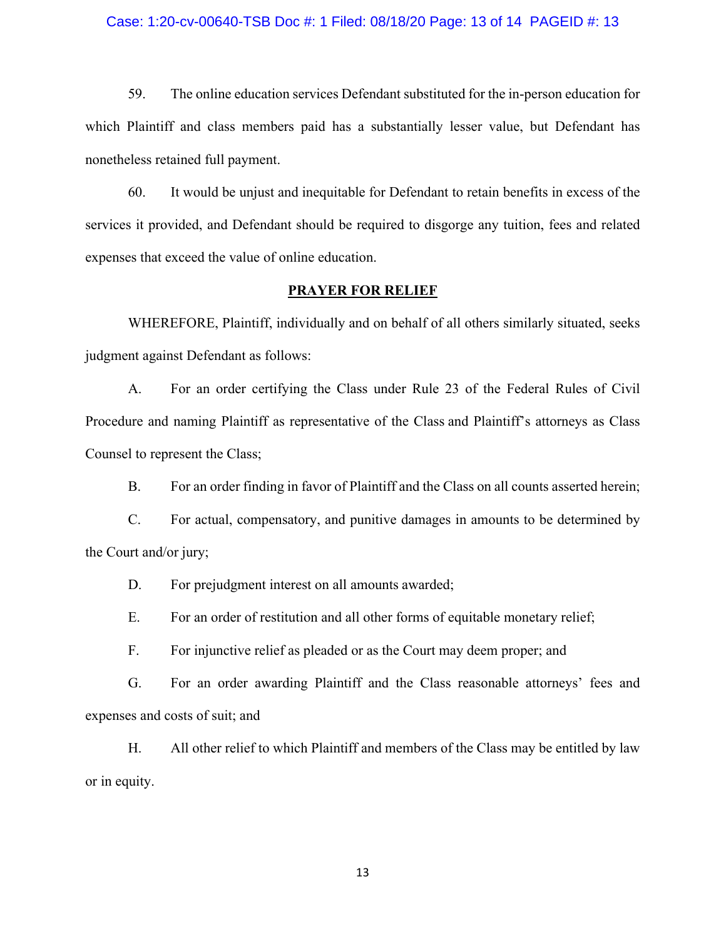#### Case: 1:20-cv-00640-TSB Doc #: 1 Filed: 08/18/20 Page: 13 of 14 PAGEID #: 13

59. The online education services Defendant substituted for the in-person education for which Plaintiff and class members paid has a substantially lesser value, but Defendant has nonetheless retained full payment.

60. It would be unjust and inequitable for Defendant to retain benefits in excess of the services it provided, and Defendant should be required to disgorge any tuition, fees and related expenses that exceed the value of online education.

# **PRAYER FOR RELIEF**

WHEREFORE, Plaintiff, individually and on behalf of all others similarly situated, seeks judgment against Defendant as follows:

A. For an order certifying the Class under Rule 23 of the Federal Rules of Civil Procedure and naming Plaintiff as representative of the Class and Plaintiff's attorneys as Class Counsel to represent the Class;

B. For an order finding in favor of Plaintiff and the Class on all counts asserted herein;

C. For actual, compensatory, and punitive damages in amounts to be determined by the Court and/or jury;

D. For prejudgment interest on all amounts awarded;

E. For an order of restitution and all other forms of equitable monetary relief;

F. For injunctive relief as pleaded or as the Court may deem proper; and

G. For an order awarding Plaintiff and the Class reasonable attorneys' fees and expenses and costs of suit; and

H. All other relief to which Plaintiff and members of the Class may be entitled by law or in equity.